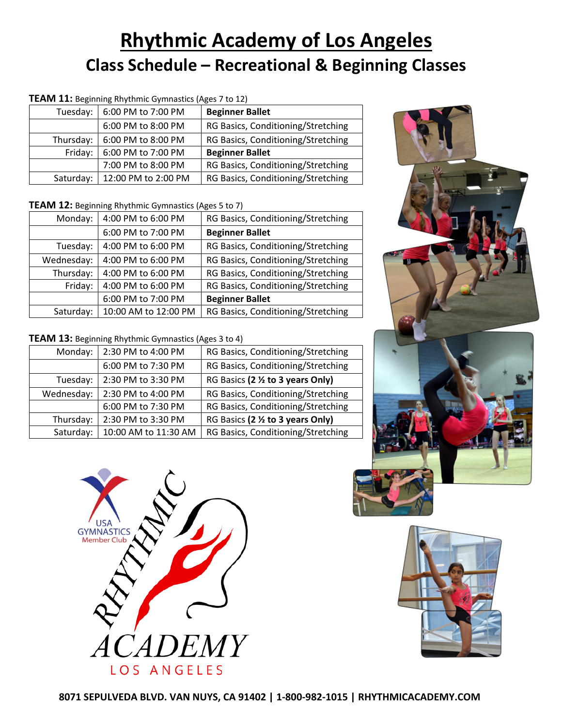# **Rhythmic Academy of Los Angeles Class Schedule – Recreational & Beginning Classes**

| <b>TEAM 11:</b> Beginning Rhythmic Gymnastics (Ages 7 to 12) |  |                               |                             |  |
|--------------------------------------------------------------|--|-------------------------------|-----------------------------|--|
|                                                              |  | Tuesday:   6:00 PM to 7:00 PM | <b>Beginner Ballet</b>      |  |
|                                                              |  | $6.00$ PM to $8.00$ PM        | <b>RG Rasics Conditioni</b> |  |

| 6:00 PM to 8:00 PM                                                    | RG Basics, Conditioning/Stretching |  |
|-----------------------------------------------------------------------|------------------------------------|--|
| Thursday:   6:00 PM to 8:00 PM<br>RG Basics, Conditioning/Stretching  |                                    |  |
| Friday:   6:00 PM to 7:00 PM                                          | <b>Beginner Ballet</b>             |  |
| 7:00 PM to 8:00 PM                                                    | RG Basics, Conditioning/Stretching |  |
| Saturday:   12:00 PM to 2:00 PM<br>RG Basics, Conditioning/Stretching |                                    |  |

#### **TEAM 12:** Beginning Rhythmic Gymnastics (Ages 5 to 7)

| Monday:    | 4:00 PM to 6:00 PM   | RG Basics, Conditioning/Stretching |  |
|------------|----------------------|------------------------------------|--|
|            | 6:00 PM to 7:00 PM   | <b>Beginner Ballet</b>             |  |
| Tuesday:   | 4:00 PM to 6:00 PM   | RG Basics, Conditioning/Stretching |  |
| Wednesday: | 4:00 PM to 6:00 PM   | RG Basics, Conditioning/Stretching |  |
| Thursday:  | 4:00 PM to 6:00 PM   | RG Basics, Conditioning/Stretching |  |
| Friday:    | 4:00 PM to 6:00 PM   | RG Basics, Conditioning/Stretching |  |
|            | 6:00 PM to 7:00 PM   | <b>Beginner Ballet</b>             |  |
| Saturday:  | 10:00 AM to 12:00 PM | RG Basics, Conditioning/Stretching |  |

### **TEAM 13:** Beginning Rhythmic Gymnastics (Ages 3 to 4)

| Monday:    | 2:30 PM to 4:00 PM   | RG Basics, Conditioning/Stretching |  |  |
|------------|----------------------|------------------------------------|--|--|
|            | 6:00 PM to 7:30 PM   | RG Basics, Conditioning/Stretching |  |  |
| Tuesday:   | 2:30 PM to 3:30 PM   | RG Basics (2 % to 3 years Only)    |  |  |
| Wednesday: | 2:30 PM to 4:00 PM   | RG Basics, Conditioning/Stretching |  |  |
|            | 6:00 PM to 7:30 PM   | RG Basics, Conditioning/Stretching |  |  |
| Thursday:  | 2:30 PM to 3:30 PM   | RG Basics (2 % to 3 years Only)    |  |  |
| Saturday:  | 10:00 AM to 11:30 AM | RG Basics, Conditioning/Stretching |  |  |